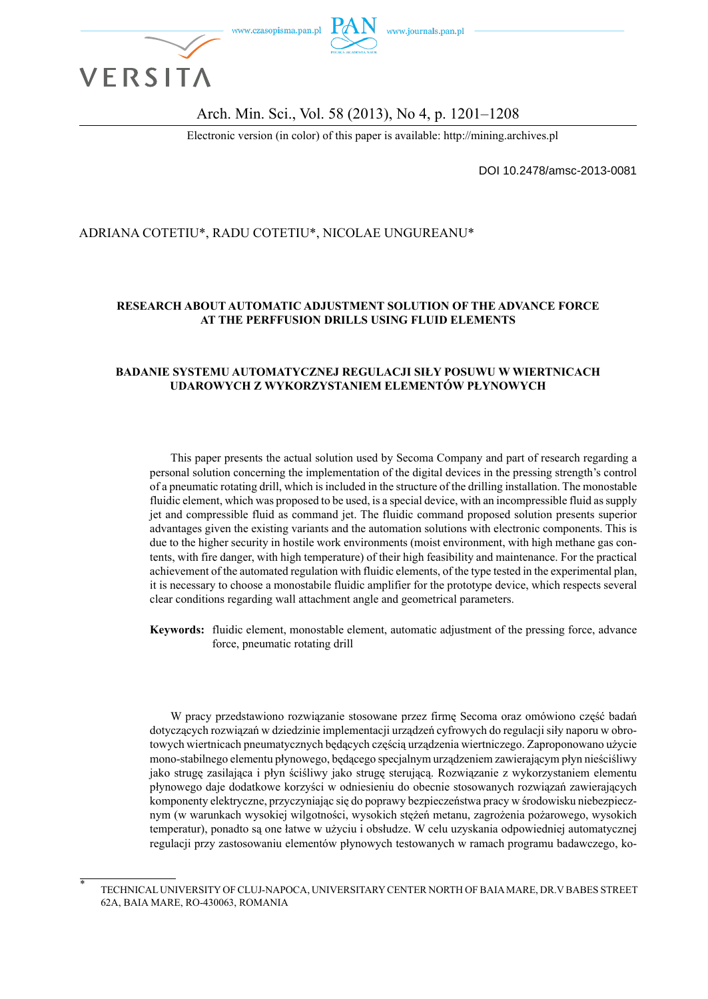

Arch. Min. Sci., Vol. 58 (2013), No 4, p. 1201–1208

Electronic version (in color) of this paper is available: http://mining.archives.pl

DOI 10.2478/amsc-2013-0081

## ADRIANA COTETIU\*, RADU COTETIU\*, NICOLAE UNGUREANU\*

### **RESEARCH ABOUT AUTOMATIC ADJUSTMENT SOLUTION OF THE ADVANCE FORCE AT THE PERFFUSION DRILLS USING FLUID ELEMENTS**

#### **BADANIE SYSTEMU AUTOMATYCZNEJ REGULACJI SIŁY POSUWU W WIERTNICACH UDAROWYCH Z WYKORZYSTANIEM ELEMENTÓW PŁYNOWYCH**

This paper presents the actual solution used by Secoma Company and part of research regarding a personal solution concerning the implementation of the digital devices in the pressing strength's control of a pneumatic rotating drill, which is included in the structure of the drilling installation. The monostable fluidic element, which was proposed to be used, is a special device, with an incompressible fluid as supply jet and compressible fluid as command jet. The fluidic command proposed solution presents superior advantages given the existing variants and the automation solutions with electronic components. This is due to the higher security in hostile work environments (moist environment, with high methane gas contents, with fire danger, with high temperature) of their high feasibility and maintenance. For the practical achievement of the automated regulation with fluidic elements, of the type tested in the experimental plan, it is necessary to choose a monostabile fluidic amplifier for the prototype device, which respects several clear conditions regarding wall attachment angle and geometrical parameters.

**Keywords:** fluidic element, monostable element, automatic adjustment of the pressing force, advance force, pneumatic rotating drill

W pracy przedstawiono rozwiązanie stosowane przez firmę Secoma oraz omówiono część badań dotyczących rozwiązań w dziedzinie implementacji urządzeń cyfrowych do regulacji siły naporu w obrotowych wiertnicach pneumatycznych będących częścią urządzenia wiertniczego. Zaproponowano użycie mono-stabilnego elementu płynowego, będącego specjalnym urządzeniem zawierającym płyn nieściśliwy jako strugę zasilająca i płyn ściśliwy jako strugę sterującą. Rozwiązanie z wykorzystaniem elementu płynowego daje dodatkowe korzyści w odniesieniu do obecnie stosowanych rozwiązań zawierających komponenty elektryczne, przyczyniając się do poprawy bezpieczeństwa pracy w środowisku niebezpiecznym (w warunkach wysokiej wilgotności, wysokich stężeń metanu, zagrożenia pożarowego, wysokich temperatur), ponadto są one łatwe w użyciu i obsłudze. W celu uzyskania odpowiedniej automatycznej regulacji przy zastosowaniu elementów płynowych testowanych w ramach programu badawczego, ko-

<sup>\*</sup> TECHNICAL UNIVERSITY OF CLUJ-NAPOCA, UNIVERSITARY CENTER NORTH OF BAIA MARE, DR.V BABES STREET 62A, BAIA MARE, RO-430063, ROMANIA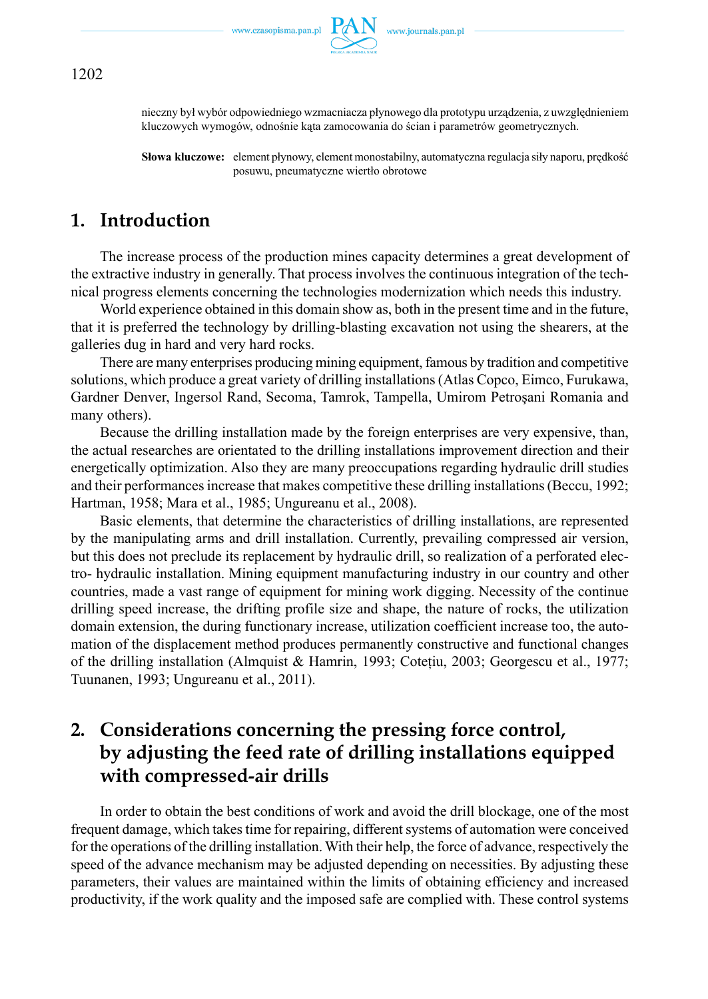

nieczny był wybór odpowiedniego wzmacniacza płynowego dla prototypu urządzenia, z uwzględnieniem kluczowych wymogów, odnośnie kąta zamocowania do ścian i parametrów geometrycznych.

**Słowa kluczowe:** element płynowy, element monostabilny, automatyczna regulacja siły naporu, prędkość posuwu, pneumatyczne wiertło obrotowe

## **1. Introduction**

The increase process of the production mines capacity determines a great development of the extractive industry in generally. That process involves the continuous integration of the technical progress elements concerning the technologies modernization which needs this industry.

World experience obtained in this domain show as, both in the present time and in the future, that it is preferred the technology by drilling-blasting excavation not using the shearers, at the galleries dug in hard and very hard rocks.

There are many enterprises producing mining equipment, famous by tradition and competitive solutions, which produce a great variety of drilling installations (Atlas Copco, Eimco, Furukawa, Gardner Denver, Ingersol Rand, Secoma, Tamrok, Tampella, Umirom Petroşani Romania and many others).

Because the drilling installation made by the foreign enterprises are very expensive, than, the actual researches are orientated to the drilling installations improvement direction and their energetically optimization. Also they are many preoccupations regarding hydraulic drill studies and their performances increase that makes competitive these drilling installations (Beccu, 1992; Hartman, 1958; Mara et al., 1985; Ungureanu et al., 2008).

Basic elements, that determine the characteristics of drilling installations, are represented by the manipulating arms and drill installation. Currently, prevailing compressed air version, but this does not preclude its replacement by hydraulic drill, so realization of a perforated electro- hydraulic installation. Mining equipment manufacturing industry in our country and other countries, made a vast range of equipment for mining work digging. Necessity of the continue drilling speed increase, the drifting profile size and shape, the nature of rocks, the utilization domain extension, the during functionary increase, utilization coefficient increase too, the automation of the displacement method produces permanently constructive and functional changes of the drilling installation (Almquist & Hamrin, 1993; Coteţiu, 2003; Georgescu et al., 1977; Tuunanen, 1993; Ungureanu et al., 2011).

# **2. Considerations concerning the pressing force control, by adjusting the feed rate of drilling installations equipped with compressed-air drills**

In order to obtain the best conditions of work and avoid the drill blockage, one of the most frequent damage, which takes time for repairing, different systems of automation were conceived for the operations of the drilling installation. With their help, the force of advance, respectively the speed of the advance mechanism may be adjusted depending on necessities. By adjusting these parameters, their values are maintained within the limits of obtaining efficiency and increased productivity, if the work quality and the imposed safe are complied with. These control systems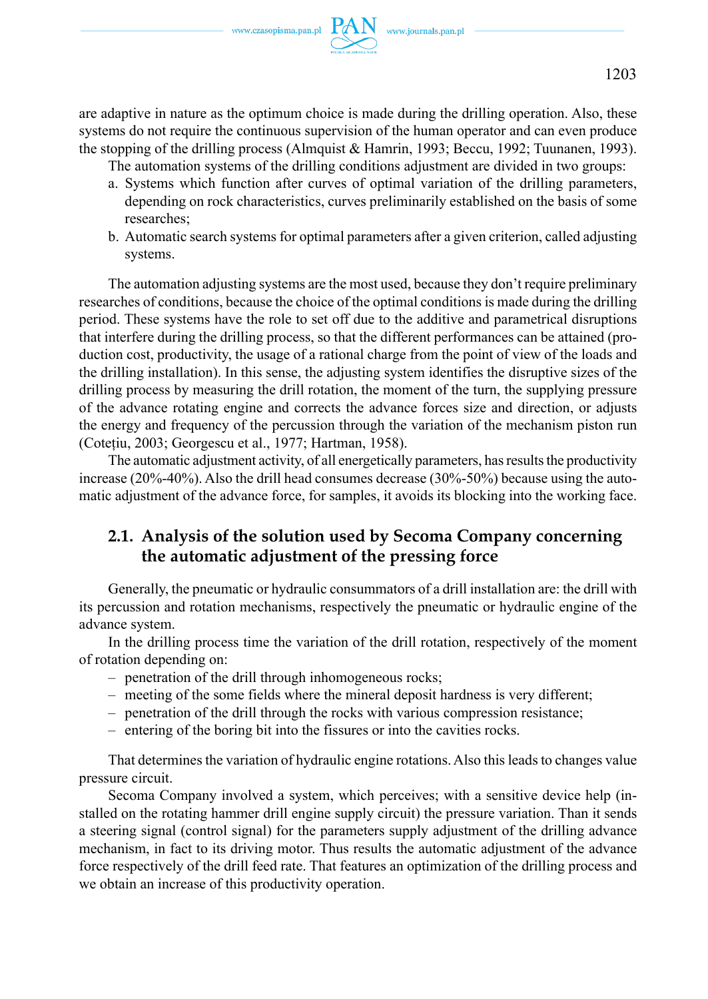are adaptive in nature as the optimum choice is made during the drilling operation. Also, these systems do not require the continuous supervision of the human operator and can even produce the stopping of the drilling process (Almquist & Hamrin, 1993; Beccu, 1992; Tuunanen, 1993).

The automation systems of the drilling conditions adjustment are divided in two groups:

- a. Systems which function after curves of optimal variation of the drilling parameters, depending on rock characteristics, curves preliminarily established on the basis of some researches;
- b. Automatic search systems for optimal parameters after a given criterion, called adjusting systems.

The automation adjusting systems are the most used, because they don't require preliminary researches of conditions, because the choice of the optimal conditions is made during the drilling period. These systems have the role to set off due to the additive and parametrical disruptions that interfere during the drilling process, so that the different performances can be attained (production cost, productivity, the usage of a rational charge from the point of view of the loads and the drilling installation). In this sense, the adjusting system identifies the disruptive sizes of the drilling process by measuring the drill rotation, the moment of the turn, the supplying pressure of the advance rotating engine and corrects the advance forces size and direction, or adjusts the energy and frequency of the percussion through the variation of the mechanism piston run (Coteţiu, 2003; Georgescu et al., 1977; Hartman, 1958).

The automatic adjustment activity, of all energetically parameters, has results the productivity increase (20%-40%). Also the drill head consumes decrease (30%-50%) because using the automatic adjustment of the advance force, for samples, it avoids its blocking into the working face.

## **2.1. Analysis of the solution used by Secoma Company concerning the automatic adjustment of the pressing force**

Generally, the pneumatic or hydraulic consummators of a drill installation are: the drill with its percussion and rotation mechanisms, respectively the pneumatic or hydraulic engine of the advance system.

In the drilling process time the variation of the drill rotation, respectively of the moment of rotation depending on:

- penetration of the drill through inhomogeneous rocks;
- meeting of the some fields where the mineral deposit hardness is very different;
- penetration of the drill through the rocks with various compression resistance;
- entering of the boring bit into the fissures or into the cavities rocks.

That determines the variation of hydraulic engine rotations. Also this leads to changes value pressure circuit.

Secoma Company involved a system, which perceives; with a sensitive device help (installed on the rotating hammer drill engine supply circuit) the pressure variation. Than it sends a steering signal (control signal) for the parameters supply adjustment of the drilling advance mechanism, in fact to its driving motor. Thus results the automatic adjustment of the advance force respectively of the drill feed rate. That features an optimization of the drilling process and we obtain an increase of this productivity operation.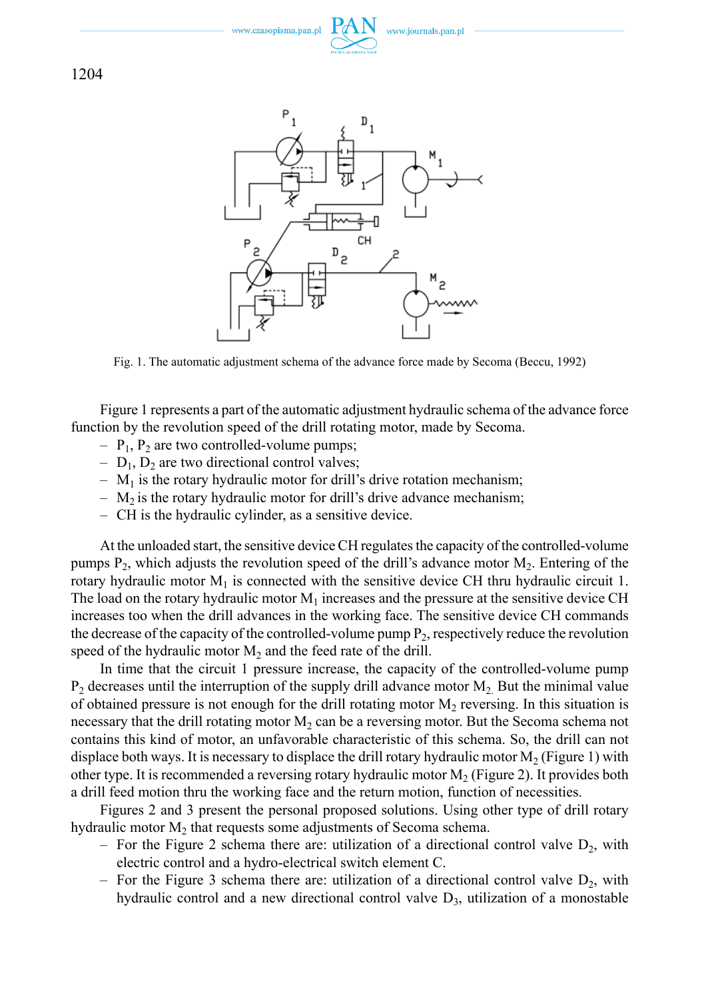



Fig. 1. The automatic adjustment schema of the advance force made by Secoma (Beccu, 1992)

Figure 1 represents a part of the automatic adjustment hydraulic schema of the advance force function by the revolution speed of the drill rotating motor, made by Secoma.

- $-$  P<sub>1</sub>, P<sub>2</sub> are two controlled-volume pumps;
- $D_1$ ,  $D_2$  are two directional control valves;
- $-$  M<sub>1</sub> is the rotary hydraulic motor for drill's drive rotation mechanism;
- $-$  M<sub>2</sub> is the rotary hydraulic motor for drill's drive advance mechanism;
- CH is the hydraulic cylinder, as a sensitive device.

At the unloaded start, the sensitive device CH regulates the capacity of the controlled-volume pumps  $P_2$ , which adjusts the revolution speed of the drill's advance motor  $M_2$ . Entering of the rotary hydraulic motor  $M_1$  is connected with the sensitive device CH thru hydraulic circuit 1. The load on the rotary hydraulic motor  $M_1$  increases and the pressure at the sensitive device CH increases too when the drill advances in the working face. The sensitive device CH commands the decrease of the capacity of the controlled-volume pump  $P<sub>2</sub>$ , respectively reduce the revolution speed of the hydraulic motor  $M_2$  and the feed rate of the drill.

In time that the circuit 1 pressure increase, the capacity of the controlled-volume pump  $P_2$  decreases until the interruption of the supply drill advance motor  $M_2$ . But the minimal value of obtained pressure is not enough for the drill rotating motor  $M<sub>2</sub>$  reversing. In this situation is necessary that the drill rotating motor  $M_2$  can be a reversing motor. But the Secoma schema not contains this kind of motor, an unfavorable characteristic of this schema. So, the drill can not displace both ways. It is necessary to displace the drill rotary hydraulic motor  $M_2$  (Figure 1) with other type. It is recommended a reversing rotary hydraulic motor  $M_2$  (Figure 2). It provides both a drill feed motion thru the working face and the return motion, function of necessities.

Figures 2 and 3 present the personal proposed solutions. Using other type of drill rotary hydraulic motor  $M_2$  that requests some adjustments of Secoma schema.

- For the Figure 2 schema there are: utilization of a directional control valve  $D_2$ , with electric control and a hydro-electrical switch element C.
- For the Figure 3 schema there are: utilization of a directional control valve  $D_2$ , with hydraulic control and a new directional control valve  $D_3$ , utilization of a monostable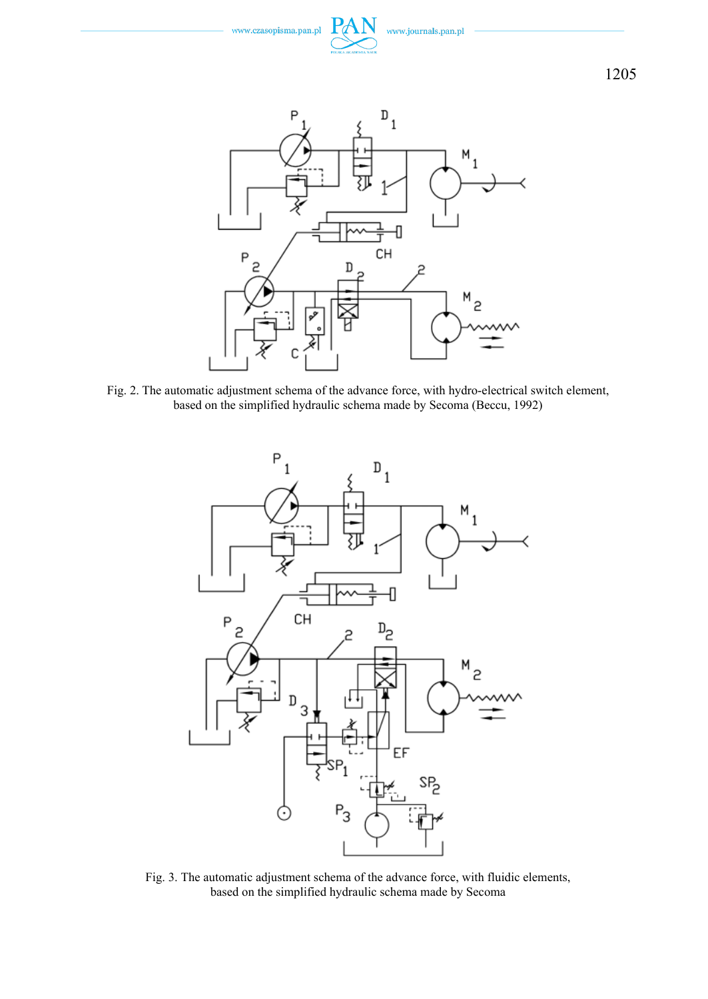



Fig. 2. The automatic adjustment schema of the advance force, with hydro-electrical switch element, based on the simplified hydraulic schema made by Secoma (Beccu, 1992)



Fig. 3. The automatic adjustment schema of the advance force, with fluidic elements, based on the simplified hydraulic schema made by Secoma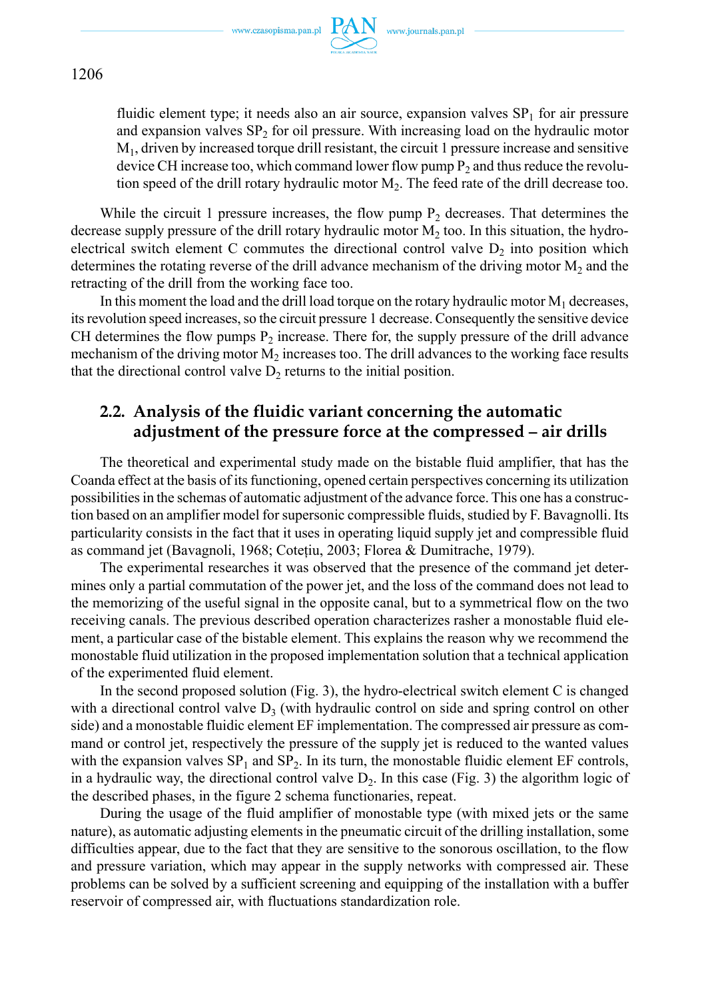

fluidic element type; it needs also an air source, expansion valves  $SP<sub>1</sub>$  for air pressure and expansion valves  $SP<sub>2</sub>$  for oil pressure. With increasing load on the hydraulic motor  $M<sub>1</sub>$ , driven by increased torque drill resistant, the circuit 1 pressure increase and sensitive device CH increase too, which command lower flow pump  $P_2$  and thus reduce the revolution speed of the drill rotary hydraulic motor M<sub>2</sub>. The feed rate of the drill decrease too.

While the circuit 1 pressure increases, the flow pump  $P<sub>2</sub>$  decreases. That determines the decrease supply pressure of the drill rotary hydraulic motor  $M<sub>2</sub>$  too. In this situation, the hydroelectrical switch element C commutes the directional control valve  $D_2$  into position which determines the rotating reverse of the drill advance mechanism of the driving motor  $M_2$  and the retracting of the drill from the working face too.

In this moment the load and the drill load torque on the rotary hydraulic motor  $M_1$  decreases, its revolution speed increases, so the circuit pressure 1 decrease. Consequently the sensitive device CH determines the flow pumps  $P_2$  increase. There for, the supply pressure of the drill advance mechanism of the driving motor  $M_2$  increases too. The drill advances to the working face results that the directional control valve  $D_2$  returns to the initial position.

## **2.2. Analysis of the fluidic variant concerning the automatic adjustment of the pressure force at the compressed – air drills**

The theoretical and experimental study made on the bistable fluid amplifier, that has the Coanda effect at the basis of its functioning, opened certain perspectives concerning its utilization possibilities in the schemas of automatic adjustment of the advance force. This one has a construction based on an amplifier model for supersonic compressible fluids, studied by F. Bavagnolli. Its particularity consists in the fact that it uses in operating liquid supply jet and compressible fluid as command jet (Bavagnoli, 1968; Coteţiu, 2003; Florea & Dumitrache, 1979).

The experimental researches it was observed that the presence of the command jet determines only a partial commutation of the power jet, and the loss of the command does not lead to the memorizing of the useful signal in the opposite canal, but to a symmetrical flow on the two receiving canals. The previous described operation characterizes rasher a monostable fluid element, a particular case of the bistable element. This explains the reason why we recommend the monostable fluid utilization in the proposed implementation solution that a technical application of the experimented fluid element.

In the second proposed solution (Fig. 3), the hydro-electrical switch element C is changed with a directional control valve  $D_3$  (with hydraulic control on side and spring control on other side) and a monostable fluidic element EF implementation. The compressed air pressure as command or control jet, respectively the pressure of the supply jet is reduced to the wanted values with the expansion valves  $SP_1$  and  $SP_2$ . In its turn, the monostable fluidic element EF controls, in a hydraulic way, the directional control valve  $D_2$ . In this case (Fig. 3) the algorithm logic of the described phases, in the figure 2 schema functionaries, repeat.

During the usage of the fluid amplifier of monostable type (with mixed jets or the same nature), as automatic adjusting elements in the pneumatic circuit of the drilling installation, some difficulties appear, due to the fact that they are sensitive to the sonorous oscillation, to the flow and pressure variation, which may appear in the supply networks with compressed air. These problems can be solved by a sufficient screening and equipping of the installation with a buffer reservoir of compressed air, with fluctuations standardization role.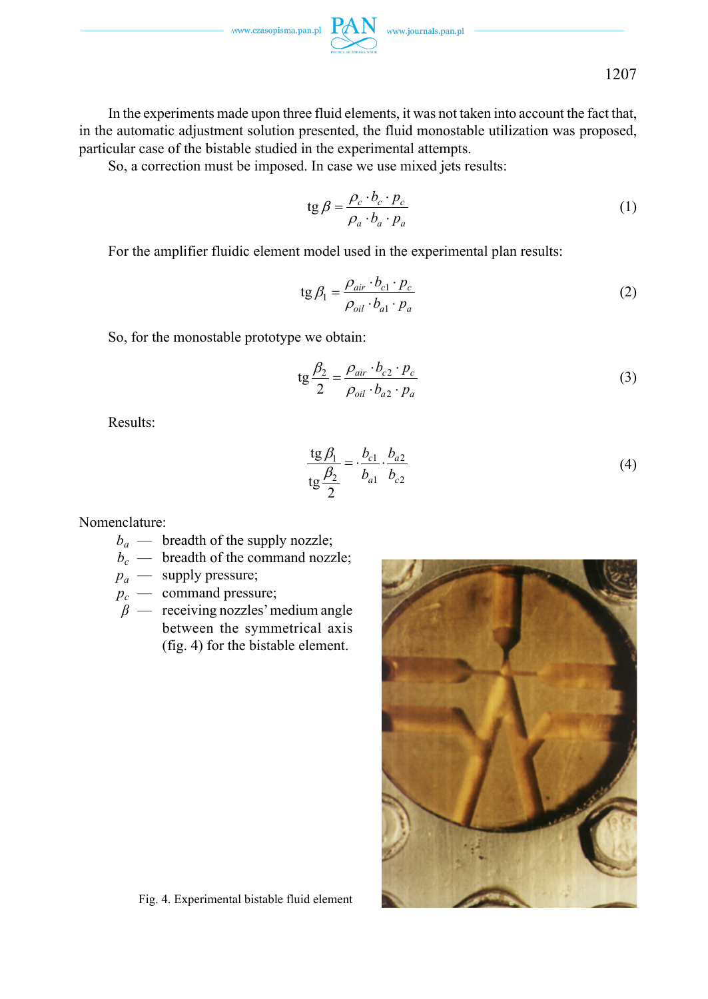

In the experiments made upon three fluid elements, it was not taken into account the fact that, in the automatic adjustment solution presented, the fluid monostable utilization was proposed, particular case of the bistable studied in the experimental attempts.

So, a correction must be imposed. In case we use mixed jets results:

$$
\operatorname{tg}\beta = \frac{\rho_c \cdot b_c \cdot p_c}{\rho_a \cdot b_a \cdot p_a} \tag{1}
$$

For the amplifier fluidic element model used in the experimental plan results:

$$
\text{tg}\,\beta_1 = \frac{\rho_{air} \cdot b_{c1} \cdot p_c}{\rho_{oil} \cdot b_{a1} \cdot p_a} \tag{2}
$$

So, for the monostable prototype we obtain:

$$
tg\frac{\beta_2}{2} = \frac{\rho_{air} \cdot b_{c2} \cdot p_c}{\rho_{oil} \cdot b_{a2} \cdot p_a}
$$
 (3)

Results:

$$
\frac{\text{tg } \beta_1}{\text{tg } \frac{\beta_2}{2}} = \frac{b_{c1}}{b_{a1}} \cdot \frac{b_{a2}}{b_{c2}}
$$
 (4)

Nomenclature:

- $b_a$  breadth of the supply nozzle;
- $b_c$  breadth of the command nozzle;
- $p_a$  supply pressure;
- $p_c$  command pressure;
- $\beta$  receiving nozzles' medium angle between the symmetrical axis (fig. 4) for the bistable element.



Fig. 4. Experimental bistable fluid element